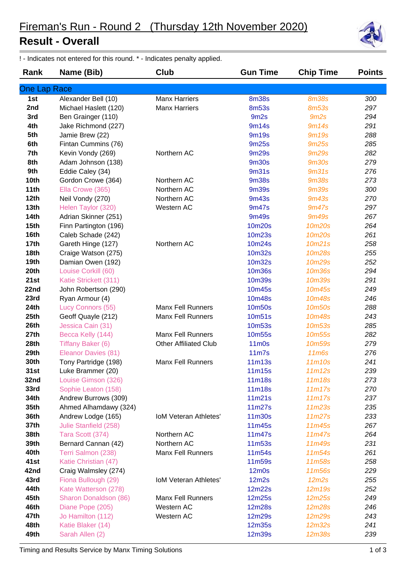## **Result - Overall**

! - Indicates not entered for this round. \* - Indicates penalty applied.

| Rank             | Name (Bib)            | Club                         | <b>Gun Time</b>                | <b>Chip Time</b>   | <b>Points</b> |
|------------------|-----------------------|------------------------------|--------------------------------|--------------------|---------------|
| One Lap Race     |                       |                              |                                |                    |               |
| 1st              | Alexander Bell (10)   | <b>Manx Harriers</b>         | <b>8m38s</b>                   | <b>8m38s</b>       | 300           |
| 2nd              | Michael Haslett (120) | <b>Manx Harriers</b>         | <b>8m53s</b>                   | <b>8m53s</b>       | 297           |
| 3rd              | Ben Grainger (110)    |                              | 9m <sub>2s</sub>               | 9m2s               | 294           |
| 4th              | Jake Richmond (227)   |                              | 9m14s                          | 9m14s              | 291           |
| 5th              | Jamie Brew (22)       |                              | 9m19s                          | <b>9m19s</b>       | 288           |
| 6th              | Fintan Cummins (76)   |                              | 9m25s                          | <b>9m25s</b>       | 285           |
| 7th              | Kevin Vondy (269)     | Northern AC                  | <b>9m29s</b>                   | <b>9m29s</b>       | 282           |
| 8th              | Adam Johnson (138)    |                              | <b>9m30s</b>                   | <b>9m30s</b>       | 279           |
| 9th              | Eddie Caley (34)      |                              | 9m31s                          | 9 <sub>m31s</sub>  | 276           |
| 10th             | Gordon Crowe (364)    | Northern AC                  | <b>9m38s</b>                   | <b>9m38s</b>       | 273           |
| 11th             | Ella Crowe (365)      | Northern AC                  | <b>9m39s</b>                   | <b>9m39s</b>       | 300           |
| 12th             | Neil Vondy (270)      | Northern AC                  | <b>9m43s</b>                   | <b>9m43s</b>       | 270           |
| 13 <sub>th</sub> | Helen Taylor (320)    | Western AC                   | 9m47s                          | 9m47s              | 297           |
| <b>14th</b>      | Adrian Skinner (251)  |                              | 9m49s                          | <b>9m49s</b>       | 267           |
| 15 <sub>th</sub> | Finn Partington (196) |                              | 10m20s                         | 10m20s             | 264           |
| 16th             | Caleb Schade (242)    |                              | 10m23s                         | 10m20s             | 261           |
| 17th             | Gareth Hinge (127)    | Northern AC                  | 10m24s                         | 10m21s             | 258           |
| <b>18th</b>      | Craige Watson (275)   |                              | 10m32s                         | 10m28s             | 255           |
| 19th             | Damian Owen (192)     |                              | 10m32s                         | 10m29s             | 252           |
| 20th             | Louise Corkill (60)   |                              | <b>10m36s</b>                  | <b>10m36s</b>      | 294           |
| 21st             | Katie Strickett (311) |                              | <b>10m39s</b>                  | <b>10m39s</b>      | 291           |
| 22nd             | John Robertson (290)  |                              | 10m45s                         | 10m45s             | 249           |
| 23rd             | Ryan Armour (4)       |                              | 10m48s                         | 10m48s             | 246           |
| 24th             | Lucy Connors (55)     | <b>Manx Fell Runners</b>     | 10m50s                         | 10m50s             | 288           |
| 25th             | Geoff Quayle (212)    | Manx Fell Runners            | 10m51s                         | 10m48s             | 243           |
| 26th             | Jessica Cain (31)     |                              | <b>10m53s</b>                  | 10m <sub>53s</sub> | 285           |
| 27th             | Becca Kelly (144)     | <b>Manx Fell Runners</b>     | 10m55s                         | 10m <sub>55s</sub> | 282           |
| 28th             | Tiffany Baker (6)     | <b>Other Affiliated Club</b> | 11 <sub>m</sub> 0 <sub>s</sub> | 10m <sub>59s</sub> | 279           |
| 29th             | Eleanor Davies (81)   |                              | 11 <sub>m</sub>                | 11 <sub>m6s</sub>  | 276           |
| 30th             | Tony Partridge (198)  | <b>Manx Fell Runners</b>     | 11 <sub>m13s</sub>             | 11m10s             | 241           |
| 31st             | Luke Brammer (20)     |                              | 11m15s                         | 11m12s             | 239           |
| 32nd             | Louise Gimson (326)   |                              | 11m18s                         | 11m18s             | 273           |
| 33rd             | Sophie Leaton (158)   |                              | 11m18s                         | 11m17s             | 270           |
| 34th             | Andrew Burrows (309)  |                              | 11m21s                         | 11m17s             | 237           |
| 35th             | Ahmed Alhamdawy (324) |                              | 11m27s                         | 11m23s             | 235           |
| 36th             | Andrew Lodge (165)    | <b>IoM Veteran Athletes'</b> | 11m30s                         | 11m27s             | 233           |
| 37th             | Julie Stanfield (258) |                              | 11m45s                         | 11m45s             | 267           |
| 38th             | Tara Scott (374)      | Northern AC                  | 11m47s                         | 11m47s             | 264           |
| 39th             | Bernard Cannan (42)   | Northern AC                  | 11m53s                         | 11m49s             | 231           |
| 40th             | Terri Salmon (238)    | <b>Manx Fell Runners</b>     | 11m54s                         | 11m54s             | 261           |
| 41st             | Katie Christian (47)  |                              | 11m59s                         | 11m58s             | 258           |
| 42nd             | Craig Walmsley (274)  |                              | $12m$ 0s                       | 11m56s             | 229           |
| 43rd             | Fiona Bullough (29)   | <b>IoM Veteran Athletes'</b> | 12m2s                          | 12m2s              | 255           |
| 44th             | Kate Watterson (278)  |                              | 12m22s                         | 12m19s             | 252           |
| 45th             | Sharon Donaldson (86) | <b>Manx Fell Runners</b>     | 12m25s                         | 12m25s             | 249           |
| 46th             | Diane Pope (205)      | Western AC                   | 12m28s                         | 12m28s             | 246           |
| 47th<br>48th     | Jo Hamilton (112)     | Western AC                   | 12m29s                         | 12m29s             | 243           |
| 49th             | Katie Blaker (14)     |                              | 12m35s                         | 12m32s             | 241<br>239    |
|                  | Sarah Allen (2)       |                              | 12m39s                         | 12m38s             |               |

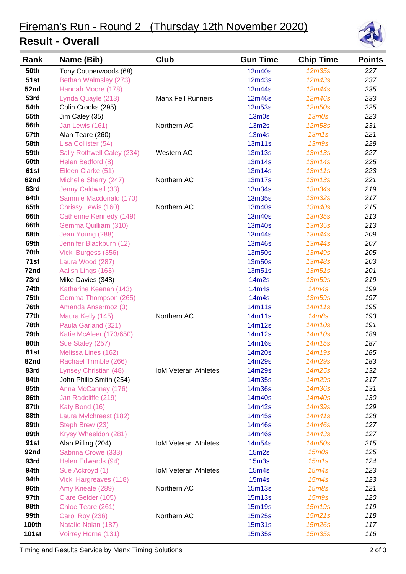## **Result - Overall**



| Rank         | Name (Bib)                 | Club                         | <b>Gun Time</b>   | <b>Chip Time</b>               | <b>Points</b> |
|--------------|----------------------------|------------------------------|-------------------|--------------------------------|---------------|
| <b>50th</b>  | Tony Couperwoods (68)      |                              | 12m40s            | <b>12m35s</b>                  | 227           |
| <b>51st</b>  | Bethan Walmsley (273)      |                              | 12m43s            | 12m43s                         | 237           |
| 52nd         | Hannah Moore (178)         |                              | 12m44s            | 12m44s                         | 235           |
| 53rd         | Lynda Quayle (213)         | <b>Manx Fell Runners</b>     | 12m46s            | 12m46s                         | 233           |
| <b>54th</b>  | Colin Crooks (295)         |                              | <b>12m53s</b>     | 12m50s                         | 225           |
| <b>55th</b>  | Jim Caley (35)             |                              | $13m$ Os          | $13m$ Os                       | 223           |
| 56th         | Jan Lewis (161)            | Northern AC                  | 13m2s             | <b>12m58s</b>                  | 231           |
| <b>57th</b>  | Alan Teare (260)           |                              | 13m4s             | 13m1s                          | 221           |
| 58th         | Lisa Collister (54)        |                              | 13m11s            | 13 <sub>m</sub> 9 <sub>s</sub> | 229           |
| 59th         | Sally Rothwell Caley (234) | Western AC                   | 13m13s            | 13m13s                         | 227           |
| 60th         | Helen Bedford (8)          |                              | 13m14s            | 13m14s                         | 225           |
| 61st         | Eileen Clarke (51)         |                              | 13m14s            | 13m11s                         | 223           |
| 62nd         | Michelle Sherry (247)      | Northern AC                  | 13m17s            | 13m13s                         | 221           |
| 63rd         | Jenny Caldwell (33)        |                              | 13m34s            | 13m34s                         | 219           |
| 64th         | Sammie Macdonald (170)     |                              | <b>13m35s</b>     | <b>13m32s</b>                  | 217           |
| 65th         | Chrissy Lewis (160)        | Northern AC                  | 13m40s            | 13m40s                         | 215           |
| 66th         | Catherine Kennedy (149)    |                              | 13m40s            | <b>13m35s</b>                  | 213           |
| 66th         | Gemma Quilliam (310)       |                              | 13m40s            | <b>13m35s</b>                  | 213           |
| 68th         | Jean Young (288)           |                              | 13m44s            | 13m44s                         | 209           |
| 69th         | Jennifer Blackburn (12)    |                              | 13m46s            | 13m44s                         | 207           |
| 70th         | Vicki Burgess (356)        |                              | 13m50s            | 13m49s                         | 205           |
| 71st         | Laura Wood (287)           |                              | 13m50s            | 13m48s                         | 203           |
| 72nd         | Aalish Lings (163)         |                              | 13m51s            | 13m51s                         | 201           |
| 73rd         | Mike Davies (348)          |                              | 14m2s             | 13m59s                         | 219           |
| 74th         | Katharine Keenan (143)     |                              | 14m4s             | 14m4s                          | 199           |
| 75th         | Gemma Thompson (265)       |                              | 14m4s             | 13m59s                         | 197           |
| 76th         | Amanda Ansermoz (3)        |                              | 14m11s            | 14m11s                         | 195           |
| 77th         | Maura Kelly (145)          | Northern AC                  | 14m11s            | 14m8s                          | 193           |
| 78th         | Paula Garland (321)        |                              | 14m12s            | 14m10s                         | 191           |
| 79th         | Katie McAleer (173/650)    |                              | 14m12s            | 14m10s                         | 189           |
| 80th         | Sue Staley (257)           |                              | 14m16s            | 14m15s                         | 187           |
| 81st         | Melissa Lines (162)        |                              | 14m20s            | 14m19s                         | 185           |
| 82nd         | Rachael Trimble (266)      |                              | 14m29s            | 14m29s                         | 183           |
| 83rd         | Lynsey Christian (48)      | <b>IoM Veteran Athletes'</b> | 14m29s            | 14m25s                         | 132           |
| 84th         | John Philip Smith (254)    |                              | 14m35s            | 14m29s                         | 217           |
| 85th         | Anna McCanney (176)        |                              | 14m36s            | 14m36s                         | 131           |
| 86th         | Jan Radcliffe (219)        |                              | 14m40s            | 14m40s                         | 130           |
| 87th         | Katy Bond (16)             |                              | 14m42s            | 14m39s                         | 129           |
| 88th         | Laura Mylchreest (182)     |                              | 14m45s            | 14m41s                         | 128           |
| 89th         | Steph Brew (23)            |                              | 14m46s            | 14m46s                         | 127           |
| 89th         | Krysy Wheeldon (281)       |                              | 14m46s            | 14m43s                         | 127           |
| 91st         | Alan Pilling (204)         | <b>IoM Veteran Athletes'</b> | 14m54s            | 14m50s                         | 215           |
| 92nd         | Sabrina Crowe (333)        |                              | 15m2s             | $15m$ Os                       | 125           |
| 93rd         | Helen Edwards (94)         |                              | 15 <sub>m3s</sub> | 15m1s                          | 124           |
| 94th         | Sue Ackroyd (1)            | IoM Veteran Athletes'        | 15m4s             | 15m4s                          | 123           |
| 94th         | Vicki Hargreaves (118)     |                              | 15m4s             | 15m4s                          | 123           |
| 96th         | Amy Kneale (289)           | Northern AC                  | 15m13s            | 15 <sub>m</sub> 8s             | 121           |
| 97th         | Clare Gelder (105)         |                              | 15m13s            | 15m9s                          | 120           |
| 98th         | Chloe Teare (261)          |                              | 15m19s            | 15m19s                         | 119           |
| 99th         | Carol Roy (236)            | Northern AC                  | 15m25s            | 15m21s                         | 118           |
| <b>100th</b> | Natalie Nolan (187)        |                              | 15m31s            | 15m26s                         | 117           |
| <b>101st</b> | Voirrey Horne (131)        |                              | 15m35s            | 15m35s                         | 116           |